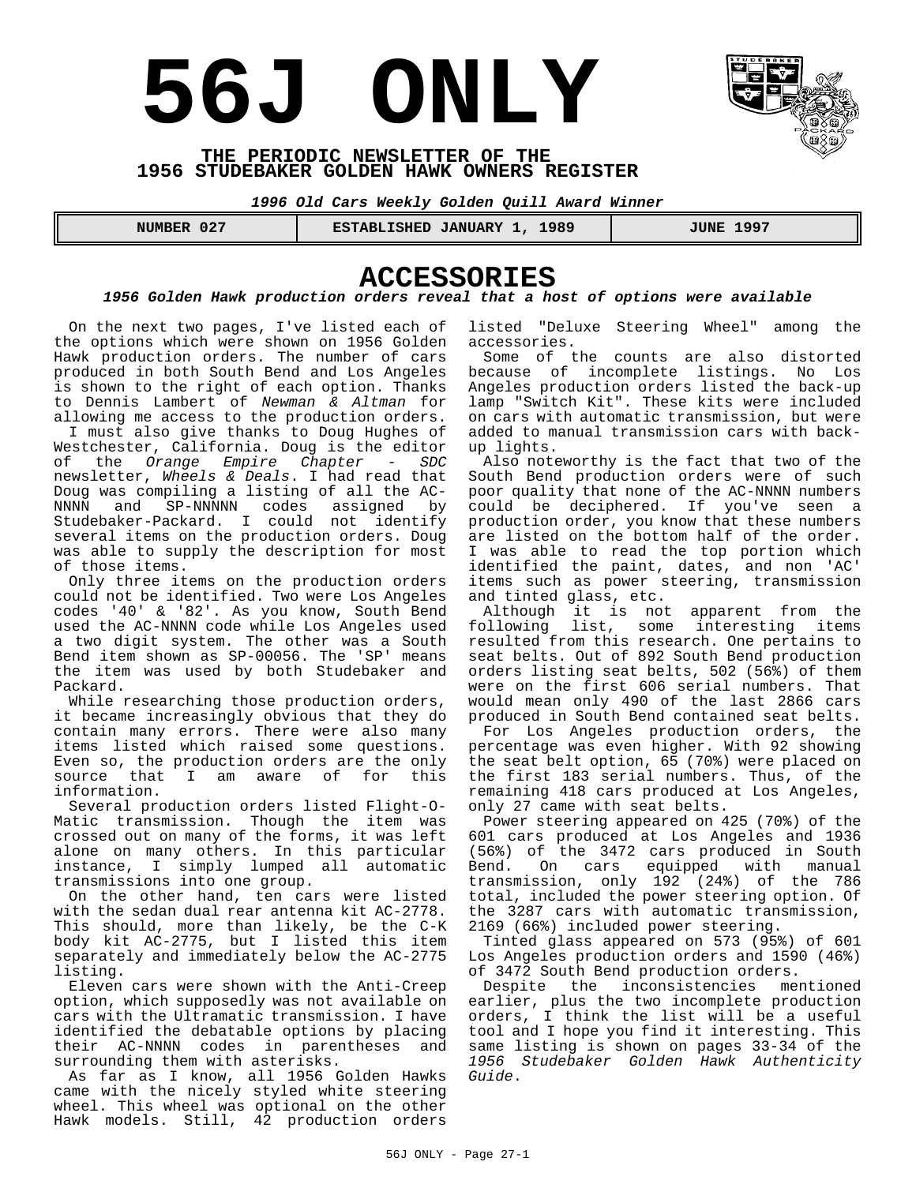# **56J ONLY**



#### **THE PERIODIC NEWSLETTER OF THE 1956 STUDEBAKER GOLDEN HAWK OWNERS REGISTER**

*1996 Old Cars Weekly Golden Quill Award Winner*

 **NUMBER 027 ESTABLISHED JANUARY 1, 1989 JUNE 1997** 

## **ACCESSORIES**

#### *1956 Golden Hawk production orders reveal that a host of options were available*

On the next two pages, I've listed each of the options which were shown on 1956 Golden Hawk production orders. The number of cars produced in both South Bend and Los Angeles is shown to the right of each option. Thanks to Dennis Lambert of *Newman & Altman* for allowing me access to the production orders.

I must also give thanks to Doug Hughes of Westchester, California. Doug is the editor<br>of the *Orange Empire Chapter - SDC* of the *Orange Empire Chapter* newsletter, *Wheels & Deals*. I had read that Doug was compiling a listing of all the AC-<br>NNNN and SP-NNNNN codes assigned by and SP-NNNNN codes assigned by Studebaker-Packard. I could not identify several items on the production orders. Doug was able to supply the description for most of those items.

Only three items on the production orders could not be identified. Two were Los Angeles codes '40' & '82'. As you know, South Bend used the AC-NNNN code while Los Angeles used a two digit system. The other was a South Bend item shown as SP-00056. The 'SP' means the item was used by both Studebaker and Packard.

While researching those production orders, it became increasingly obvious that they do contain many errors. There were also many items listed which raised some questions. Even so, the production orders are the only source that I am aware of for this information.

Several production orders listed Flight-O-Matic transmission. Though the item was crossed out on many of the forms, it was left alone on many others. In this particular instance, I simply lumped all automatic transmissions into one group.

On the other hand, ten cars were listed with the sedan dual rear antenna kit AC-2778. This should, more than likely, be the C-K body kit AC-2775, but I listed this item separately and immediately below the AC-2775 listing.

Eleven cars were shown with the Anti-Creep option, which supposedly was not available on cars with the Ultramatic transmission. I have identified the debatable options by placing their AC-NNNN codes in parentheses and surrounding them with asterisks.

As far as I know, all 1956 Golden Hawks came with the nicely styled white steering wheel. This wheel was optional on the other Hawk models. Still, 42 production orders

listed "Deluxe Steering Wheel" among the accessories.

Some of the counts are also distorted because of incomplete listings. No Los Angeles production orders listed the back-up lamp "Switch Kit". These kits were included on cars with automatic transmission, but were added to manual transmission cars with backup lights.

Also noteworthy is the fact that two of the South Bend production orders were of such poor quality that none of the AC-NNNN numbers could be deciphered. If you've seen a production order, you know that these numbers are listed on the bottom half of the order. I was able to read the top portion which identified the paint, dates, and non 'AC' items such as power steering, transmission and tinted glass, etc.

Although it is not apparent from the<br>following list, some interesting items list, some interesting items resulted from this research. One pertains to seat belts. Out of 892 South Bend production orders listing seat belts, 502 (56%) of them were on the first 606 serial numbers. That would mean only 490 of the last 2866 cars produced in South Bend contained seat belts.

For Los Angeles production orders, the percentage was even higher. With 92 showing the seat belt option, 65 (70%) were placed on the first 183 serial numbers. Thus, of the remaining 418 cars produced at Los Angeles, only 27 came with seat belts.

Power steering appeared on 425 (70%) of the 601 cars produced at Los Angeles and 1936 (56%) of the 3472 cars produced in South Bend. On cars equipped with manual transmission, only 192 (24%) of the 786 total, included the power steering option. Of the 3287 cars with automatic transmission, 2169 (66%) included power steering.

Tinted glass appeared on 573 (95%) of 601 Los Angeles production orders and 1590 (46%) of 3472 South Bend production orders.

Despite the inconsistencies mentioned earlier, plus the two incomplete production orders, I think the list will be a useful tool and I hope you find it interesting. This same listing is shown on pages 33-34 of the *1956 Studebaker Golden Hawk Authenticity Guide*.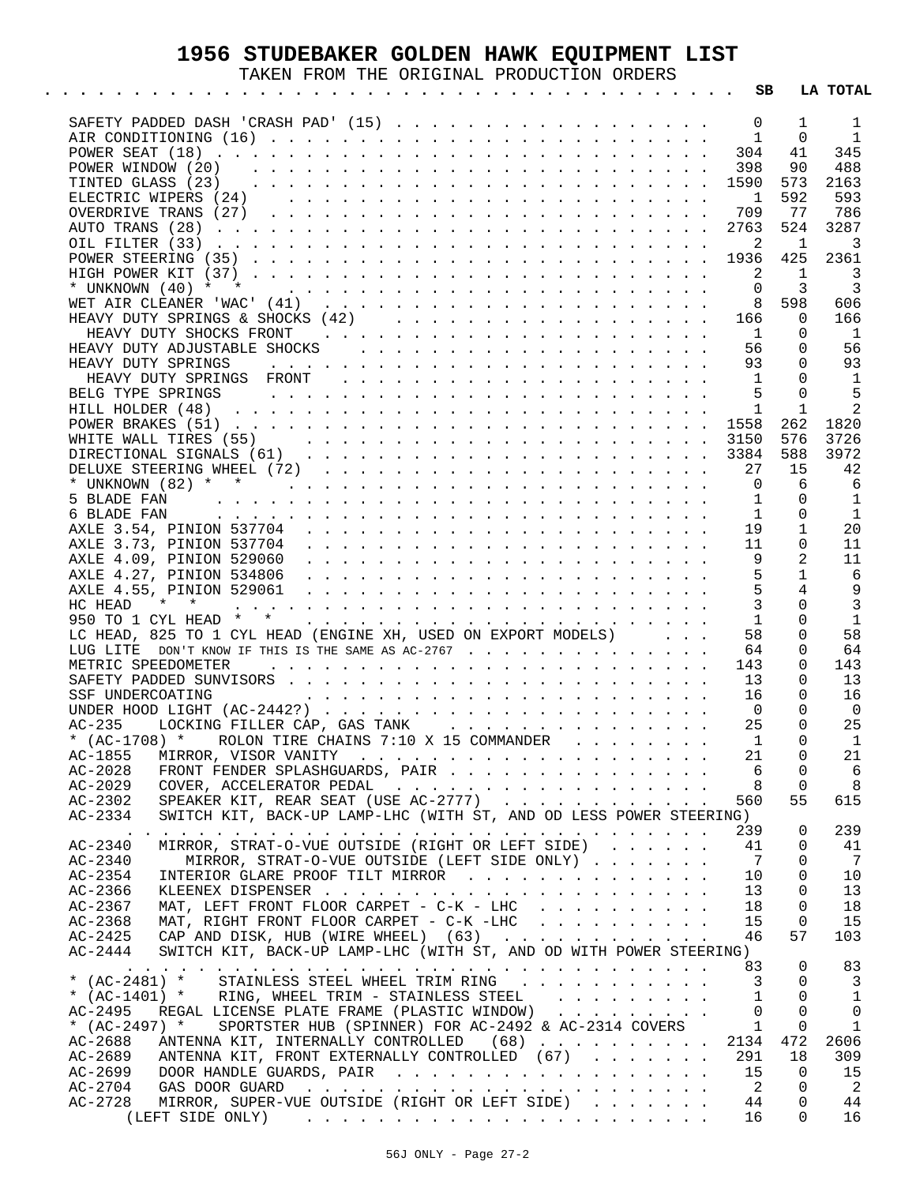## **1956 STUDEBAKER GOLDEN HAWK EQUIPMENT LIST**

TAKEN FROM THE ORIGINAL PRODUCTION ORDERS

|                                                                                                                                                                                                                                                      | SB                             |                | LA TOTAL                   |
|------------------------------------------------------------------------------------------------------------------------------------------------------------------------------------------------------------------------------------------------------|--------------------------------|----------------|----------------------------|
|                                                                                                                                                                                                                                                      | 0                              | 1              | $\mathbf{1}$               |
|                                                                                                                                                                                                                                                      | $\mathbf{1}$                   | $\Omega$       | $\overline{1}$             |
|                                                                                                                                                                                                                                                      | 304                            | 41             | 345                        |
|                                                                                                                                                                                                                                                      | 398                            | 90             | 488                        |
|                                                                                                                                                                                                                                                      | 1590                           | 573            | 2163                       |
|                                                                                                                                                                                                                                                      | $\overline{1}$                 | 592            | 593                        |
|                                                                                                                                                                                                                                                      | 709                            | 77             | 786                        |
|                                                                                                                                                                                                                                                      | 2763                           | 524            | 3287                       |
|                                                                                                                                                                                                                                                      | 2                              | 1              | 3                          |
|                                                                                                                                                                                                                                                      | 1936                           | 425            | 2361                       |
|                                                                                                                                                                                                                                                      | $\overline{\phantom{0}}^2$     | 1              | $\overline{\phantom{a}}$ 3 |
|                                                                                                                                                                                                                                                      | $\overline{0}$                 | 3              | $\overline{\mathbf{3}}$    |
|                                                                                                                                                                                                                                                      | 8                              | 598            | 606                        |
|                                                                                                                                                                                                                                                      | 166                            | 0              |                            |
|                                                                                                                                                                                                                                                      |                                |                | 166                        |
|                                                                                                                                                                                                                                                      | $\overline{1}$                 | $\Omega$       | - 1                        |
|                                                                                                                                                                                                                                                      | 56                             | 0              | 56                         |
|                                                                                                                                                                                                                                                      | 93                             | 0              | 93                         |
|                                                                                                                                                                                                                                                      | $\sim$ 1                       | $\Omega$       | - 1                        |
|                                                                                                                                                                                                                                                      | 5                              | $\Omega$       | $-5$                       |
|                                                                                                                                                                                                                                                      | 1                              | 1              | 2                          |
|                                                                                                                                                                                                                                                      | 1558                           | 262            | 1820                       |
|                                                                                                                                                                                                                                                      | 3150                           | 576            | 3726                       |
|                                                                                                                                                                                                                                                      |                                | 588            | 3972                       |
|                                                                                                                                                                                                                                                      | 27                             | 15             | 42                         |
|                                                                                                                                                                                                                                                      | $\Omega$                       | 6              | 6                          |
|                                                                                                                                                                                                                                                      | $\mathbf{1}$                   | $\Omega$       | - 1                        |
|                                                                                                                                                                                                                                                      | $\mathbf{1}$                   | $\Omega$       | $\overline{1}$             |
|                                                                                                                                                                                                                                                      | 19                             | $\mathbf{1}$   | 20                         |
|                                                                                                                                                                                                                                                      | 11                             | $\Omega$       | 11                         |
|                                                                                                                                                                                                                                                      | 9                              | 2              | 11                         |
|                                                                                                                                                                                                                                                      | 5                              | $\mathbf{1}$   | 6                          |
|                                                                                                                                                                                                                                                      | $5\overline{5}$                | 4              | 9                          |
| $\star$<br>HC HEAD<br>$*$ . The second contract of the second contract of the second contract of the second contract of the second contract of the second contract of the second contract of the second contract of the second contract of the seco  | $\mathbf{3}$                   | $\Omega$       | $\overline{3}$             |
| 950 TO 1 CYL HEAD * *                                                                                                                                                                                                                                | 1                              | $\Omega$       | 1                          |
| LC HEAD, 825 TO 1 CYL HEAD (ENGINE XH, USED ON EXPORT MODELS)                                                                                                                                                                                        | 58                             | $\Omega$       | 58                         |
| LUG LITE DON'T KNOW IF THIS IS THE SAME AS AC-2767                                                                                                                                                                                                   | 64                             | 0              | 64                         |
| METRIC SPEEDOMETER<br>and the contract of the contract of the contract of the contract of the contract of the contract of the contract of the contract of the contract of the contract of the contract of the contract of the contract of the contra | 143                            | 0              | 143                        |
|                                                                                                                                                                                                                                                      | -13                            | $\Omega$       | 13                         |
| and the contract of the contract of the contract of the contract of the contract of the contract of the contract of the contract of the contract of the contract of the contract of the contract of the contract of the contra<br>SSF UNDERCOATING   | 16                             | 0              | 16                         |
|                                                                                                                                                                                                                                                      |                                | $\Omega$       | $\overline{\phantom{0}}$   |
|                                                                                                                                                                                                                                                      | $\overline{\phantom{0}}$<br>25 | $\Omega$       | 25                         |
| * $(AC-1708)$ * ROLON TIRE CHAINS 7:10 X 15 COMMANDER                                                                                                                                                                                                | $\overline{1}$                 | $\Omega$       | $\overline{1}$             |
|                                                                                                                                                                                                                                                      |                                |                |                            |
| AC-1855                                                                                                                                                                                                                                              | 21                             | $\overline{0}$ | 21                         |
| $AC-2028$<br>FRONT FENDER SPLASHGUARDS, PAIR                                                                                                                                                                                                         | 6                              | 0              | - 6                        |
| $AC - 2029$<br>COVER, ACCELERATOR PEDAL                                                                                                                                                                                                              | 8                              | 0              | 8                          |
| SPEAKER KIT, REAR SEAT (USE AC-2777)<br>$AC - 2302$                                                                                                                                                                                                  | 560                            | 55             | 615                        |
| $AC - 2334$<br>SWITCH KIT, BACK-UP LAMP-LHC (WITH ST, AND OD LESS POWER STEERING)                                                                                                                                                                    |                                |                |                            |
| a constitution of the constitution of the constitution of the constitution of the constitution of the constitution of the constitution of the constitution of the constitution of the constitution of the constitution of the                        | 239                            | 0              | 239                        |
| MIRROR, STRAT-O-VUE OUTSIDE (RIGHT OR LEFT SIDE)<br>AC-2340                                                                                                                                                                                          | 41                             | 0              | 41                         |
| MIRROR, STRAT-O-VUE OUTSIDE (LEFT SIDE ONLY)<br>AC-2340                                                                                                                                                                                              | - 7                            | 0              | 7                          |
| INTERIOR GLARE PROOF TILT MIRROR<br>AC-2354                                                                                                                                                                                                          | 10                             | 0              | 10                         |
| $AC-2366$                                                                                                                                                                                                                                            | 13                             | 0              | 13                         |
| MAT, LEFT FRONT FLOOR CARPET - C-K - LHC<br>AC-2367                                                                                                                                                                                                  | 18                             | 0              | 18                         |
| MAT, RIGHT FRONT FLOOR CARPET - C-K -LHC<br>$AC - 2368$                                                                                                                                                                                              | 15                             | 0              | 15                         |
| CAP AND DISK, HUB (WIRE WHEEL) $(63)$<br>AC-2425                                                                                                                                                                                                     | 46                             | 57             | 103                        |
| SWITCH KIT, BACK-UP LAMP-LHC (WITH ST, AND OD WITH POWER STEERING)<br>$AC - 2444$                                                                                                                                                                    |                                |                |                            |
|                                                                                                                                                                                                                                                      | 83                             | 0              | 83                         |
| * (AC-2481) * STAINLESS STEEL WHEEL TRIM RING                                                                                                                                                                                                        | 3                              | 0              | 3                          |
| * $(AC-1401)$ * RING, WHEEL TRIM - STAINLESS STEEL                                                                                                                                                                                                   | 1                              | 0              | 1                          |
| AC-2495<br>REGAL LICENSE PLATE FRAME (PLASTIC WINDOW)                                                                                                                                                                                                | $\Omega$                       | $\Omega$       | 0                          |
| SPORTSTER HUB (SPINNER) FOR AC-2492 & AC-2314 COVERS<br>* $(AC-2497)$ *                                                                                                                                                                              | $\mathbf{1}$                   | 0              | 1                          |
| ANTENNA KIT, INTERNALLY CONTROLLED (68)<br>$AC - 2688$                                                                                                                                                                                               | 2134                           | 472            | 2606                       |
| ANTENNA KIT, FRONT EXTERNALLY CONTROLLED (67)<br>AC-2689                                                                                                                                                                                             | 291                            | 18             | 309                        |
| $AC - 2699$                                                                                                                                                                                                                                          | - 15                           | 0              |                            |
| AC-2704                                                                                                                                                                                                                                              | $\overline{\phantom{a}}^2$     | 0              | 15<br>- 2                  |
|                                                                                                                                                                                                                                                      |                                | 0              |                            |
| AC-2728<br>MIRROR, SUPER-VUE OUTSIDE (RIGHT OR LEFT SIDE)                                                                                                                                                                                            | 44                             |                | 44                         |
|                                                                                                                                                                                                                                                      | 16                             | $\Omega$       | 16                         |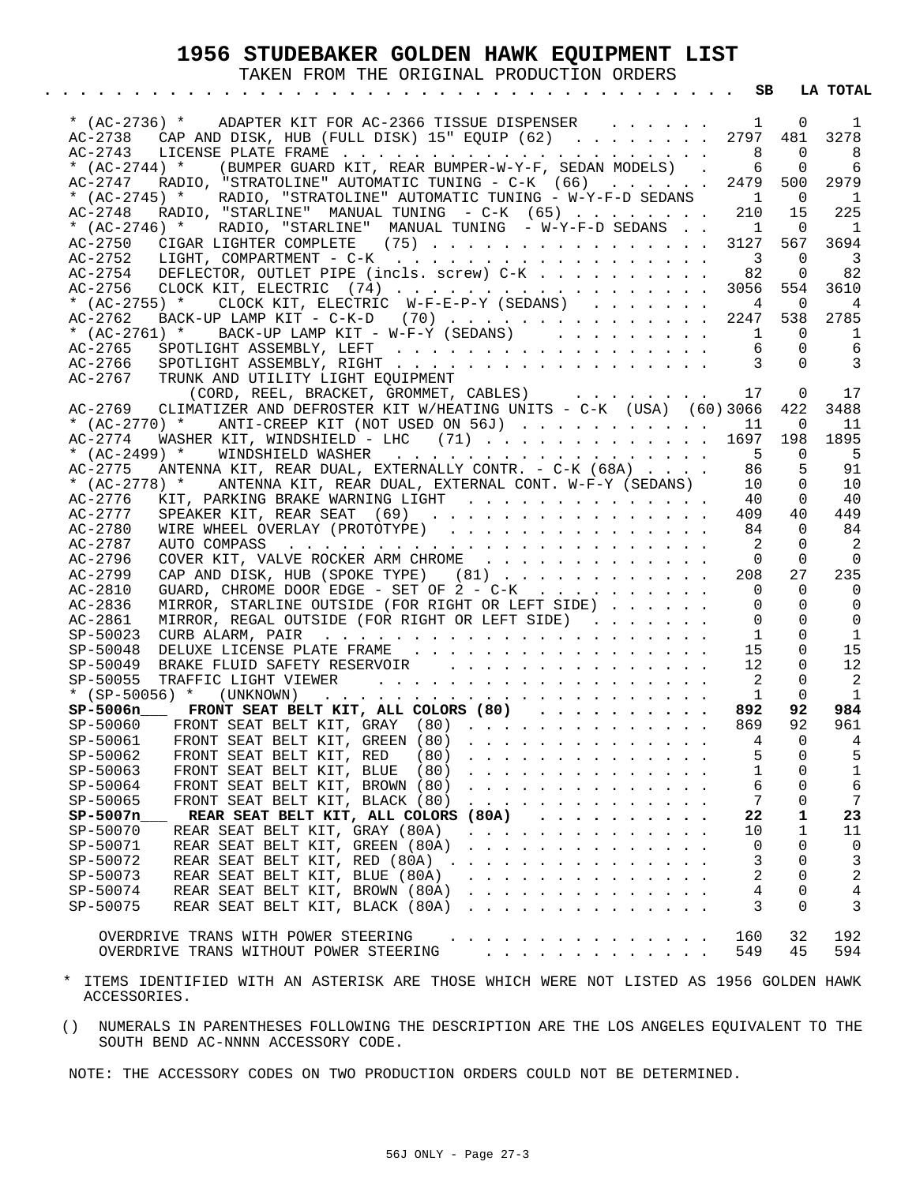### **1956 STUDEBAKER GOLDEN HAWK EQUIPMENT LIST**

TAKEN FROM THE ORIGINAL PRODUCTION ORDERS

|                            | * (AC-2736) * ADAPTER KIT FOR AC-2366 TISSUE DISPENSER                                                                                                                                                                                                                              | $\mathbf{1}$                  | 0               | 1              |
|----------------------------|-------------------------------------------------------------------------------------------------------------------------------------------------------------------------------------------------------------------------------------------------------------------------------------|-------------------------------|-----------------|----------------|
|                            | AC-2738 CAP AND DISK, HUB (FULL DISK) 15" EQUIP (62) 2797                                                                                                                                                                                                                           | - 8                           | 481<br>$\Omega$ | 3278           |
| AC-2743<br>* $(AC-2744)$ * | (BUMPER GUARD KIT, REAR BUMPER-W-Y-F, SEDAN MODELS).                                                                                                                                                                                                                                | 6                             | 0               | 8<br>6         |
| AC-2747                    | RADIO, "STRATOLINE" AUTOMATIC TUNING - $C-K$ (66)                                                                                                                                                                                                                                   | 2479                          | 500             | 2979           |
| * $(AC-2745)$ *            | RADIO, "STRATOLINE" AUTOMATIC TUNING - W-Y-F-D SEDANS                                                                                                                                                                                                                               | $\sim$ 1                      | $\Omega$        | 1              |
| $AC - 2748$                | RADIO, "STARLINE" MANUAL TUNING - $C-K$ (65)                                                                                                                                                                                                                                        | 210                           | 15              | 225            |
| * $(AC-2746)$ *            | RADIO, "STARLINE" MANUAL TUNING - W-Y-F-D SEDANS                                                                                                                                                                                                                                    | $\sim$ 1                      | $\Omega$        | 1              |
| $AC-2750$                  | CIGAR LIGHTER COMPLETE (75)                                                                                                                                                                                                                                                         | 3127                          | 567             | 3694           |
| $AC - 2752$                |                                                                                                                                                                                                                                                                                     | $\overline{\phantom{a}}$ 3    | $\Omega$        | - 3            |
| $AC-2754$                  | DEFLECTOR, OUTLET PIPE (incls. screw) C-K                                                                                                                                                                                                                                           | 82                            | $\Omega$        | 82             |
| $AC - 2756$                | CLOCK KIT, ELECTRIC $(74)$                                                                                                                                                                                                                                                          | 3056                          | 554             | 3610           |
| * $(AC-2755)$ *            | CLOCK KIT, ELECTRIC W-F-E-P-Y (SEDANS)                                                                                                                                                                                                                                              | 4                             | 0               | 4              |
| $AC - 2762$                | BACK-UP LAMP KIT - C-K-D (70) 2247                                                                                                                                                                                                                                                  |                               | 538             | 2785           |
| * $(AC-2761)$ *            | $\texttt{BACK-UP}$ LAMP KIT - W-F-Y (SEDANS)                                                                                                                                                                                                                                        | $\mathbf{1}$                  | $\Omega$        | 1              |
| AC-2765                    |                                                                                                                                                                                                                                                                                     | 6                             | $\Omega$        | 6              |
| AC-2766                    |                                                                                                                                                                                                                                                                                     | $\overline{\phantom{a}}$      | $\Omega$        | 3              |
| AC-2767                    | TRUNK AND UTILITY LIGHT EOUIPMENT                                                                                                                                                                                                                                                   |                               |                 |                |
| $AC-2769$                  | (CORD, REEL, BRACKET, GROMMET, CABLES)<br>CLIMATIZER AND DEFROSTER KIT W/HEATING UNITS - C-K (USA) (60)3066                                                                                                                                                                         | 17                            | 0               | 17             |
|                            | * (AC-2770) * ANTI-CREEP KIT (NOT USED ON 56J) 11                                                                                                                                                                                                                                   |                               | 422<br>$\Omega$ | 3488<br>11     |
| $AC - 2774$                | WASHER KIT, WINDSHIELD - LHC $(71)$ 1697                                                                                                                                                                                                                                            |                               | 198             | 1895           |
| * $(AC-2499)$ *            |                                                                                                                                                                                                                                                                                     | $-5$                          | $\Omega$        | - 5            |
| AC-2775                    | ANTENNA KIT, REAR DUAL, EXTERNALLY CONTR. - C-K (68A)                                                                                                                                                                                                                               | 86                            | 5               | 91             |
| * $(AC-2778)$ *            | ANTENNA KIT, REAR DUAL, EXTERNAL CONT. W-F-Y (SEDANS)                                                                                                                                                                                                                               | 10                            | $\Omega$        | 10             |
| $AC - 2776$                | KIT, PARKING BRAKE WARNING LIGHT                                                                                                                                                                                                                                                    | 40                            | 0               | 40             |
| AC-2777                    | SPEAKER KIT, REAR SEAT (69)                                                                                                                                                                                                                                                         | 409                           | 40              | 449            |
| $AC - 2780$                | WIRE WHEEL OVERLAY (PROTOTYPE)                                                                                                                                                                                                                                                      | 84                            | $\Omega$        | 84             |
| AC-2787                    |                                                                                                                                                                                                                                                                                     | $\overline{\phantom{0}}^2$    | $\Omega$        | -2             |
| $AC-2796$                  | COVER KIT, VALVE ROCKER ARM CHROME                                                                                                                                                                                                                                                  | $\Omega$                      | 0               | $\Omega$       |
| $AC-2799$                  | CAP AND DISK, HUB (SPOKE TYPE) $(81)$                                                                                                                                                                                                                                               | 208                           | 27              | 235            |
| AC-2810                    | GUARD, CHROME DOOR EDGE - SET OF $2$ - C-K                                                                                                                                                                                                                                          | $\overline{\phantom{0}}$      | $\Omega$        | $\Omega$       |
| AC-2836                    | MIRROR, STARLINE OUTSIDE (FOR RIGHT OR LEFT SIDE)                                                                                                                                                                                                                                   | $\Omega$                      | $\Omega$        | $\Omega$       |
| $AC-2861$                  | MIRROR, REGAL OUTSIDE (FOR RIGHT OR LEFT SIDE)                                                                                                                                                                                                                                      | $\Omega$                      | $\Omega$        | $\Omega$       |
| SP-50023                   |                                                                                                                                                                                                                                                                                     | $\mathbf{1}$                  | $\Omega$        | 1              |
| SP-50048                   | DELUXE LICENSE PLATE FRAME                                                                                                                                                                                                                                                          | 15                            | $\Omega$        | 15             |
| $SP-50049$                 | BRAKE FLUID SAFETY RESERVOIR                                                                                                                                                                                                                                                        | 12                            | $\Omega$        | 12             |
| SP-50055                   | * $(SP-50056)$ * $(UNKNOWN)$                                                                                                                                                                                                                                                        | $\overline{2}$<br>$\mathbf 1$ | $\Omega$<br>0   | 2<br>1         |
|                            | and the contract of the contract of the contract of the contract of the contract of the contract of the contract of the contract of the contract of the contract of the contract of the contract of the contract of the contra<br>SP-5006n____ FRONT SEAT BELT KIT, ALL COLORS (80) | 892                           | 92              | 984            |
|                            | $SP-50060$ FRONT SEAT BELT KIT, GRAY $(80)$                                                                                                                                                                                                                                         | 869                           | 92              | 961            |
|                            | SP-50061 FRONT SEAT BELT KIT, GREEN (80)                                                                                                                                                                                                                                            | $\overline{4}$                | $\Omega$        | $\overline{4}$ |
| SP-50062                   | FRONT SEAT BELT KIT, RED<br>(80)                                                                                                                                                                                                                                                    | 5                             | 0               | 5              |
| SP-50063                   | FRONT SEAT BELT KIT, BLUE<br>(80)<br>.                                                                                                                                                                                                                                              | 1                             | 0               | 1              |
| SP-50064                   | FRONT SEAT BELT KIT, BROWN (80)                                                                                                                                                                                                                                                     | 6                             | 0               | 6              |
| SP-50065                   | FRONT SEAT BELT KIT, BLACK (80)<br>.                                                                                                                                                                                                                                                | 7                             | 0               | 7              |
| SP-5007n                   | REAR SEAT BELT KIT, ALL COLORS (80A)<br>.                                                                                                                                                                                                                                           | 22                            | 1               | 23             |
| SP-50070                   | REAR SEAT BELT KIT, GRAY (80A)<br>.                                                                                                                                                                                                                                                 | 10                            | 1               | 11             |
| SP-50071                   | REAR SEAT BELT KIT, GREEN (80A)<br>.                                                                                                                                                                                                                                                | 0                             | 0               | 0              |
| SP-50072                   | REAR SEAT BELT KIT, RED (80A)<br>.                                                                                                                                                                                                                                                  | 3                             | $\Omega$        | 3              |
| SP-50073                   | REAR SEAT BELT KIT, BLUE (80A)<br><u>.</u>                                                                                                                                                                                                                                          | 2                             | 0               | 2              |
| SP-50074                   | REAR SEAT BELT KIT, BROWN (80A)<br>.                                                                                                                                                                                                                                                | 4                             | 0               | 4              |
| SP-50075                   | REAR SEAT BELT KIT, BLACK (80A)<br>.                                                                                                                                                                                                                                                | 3                             | $\Omega$        | 3              |
|                            | $\frac{1}{2}$                                                                                                                                                                                                                                                                       |                               |                 |                |
|                            | OVERDRIVE TRANS WITH POWER STEERING                                                                                                                                                                                                                                                 | 160                           | 32              | 192            |

- \* ITEMS IDENTIFIED WITH AN ASTERISK ARE THOSE WHICH WERE NOT LISTED AS 1956 GOLDEN HAWK ACCESSORIES.
- () NUMERALS IN PARENTHESES FOLLOWING THE DESCRIPTION ARE THE LOS ANGELES EQUIVALENT TO THE SOUTH BEND AC-NNNN ACCESSORY CODE.

NOTE: THE ACCESSORY CODES ON TWO PRODUCTION ORDERS COULD NOT BE DETERMINED.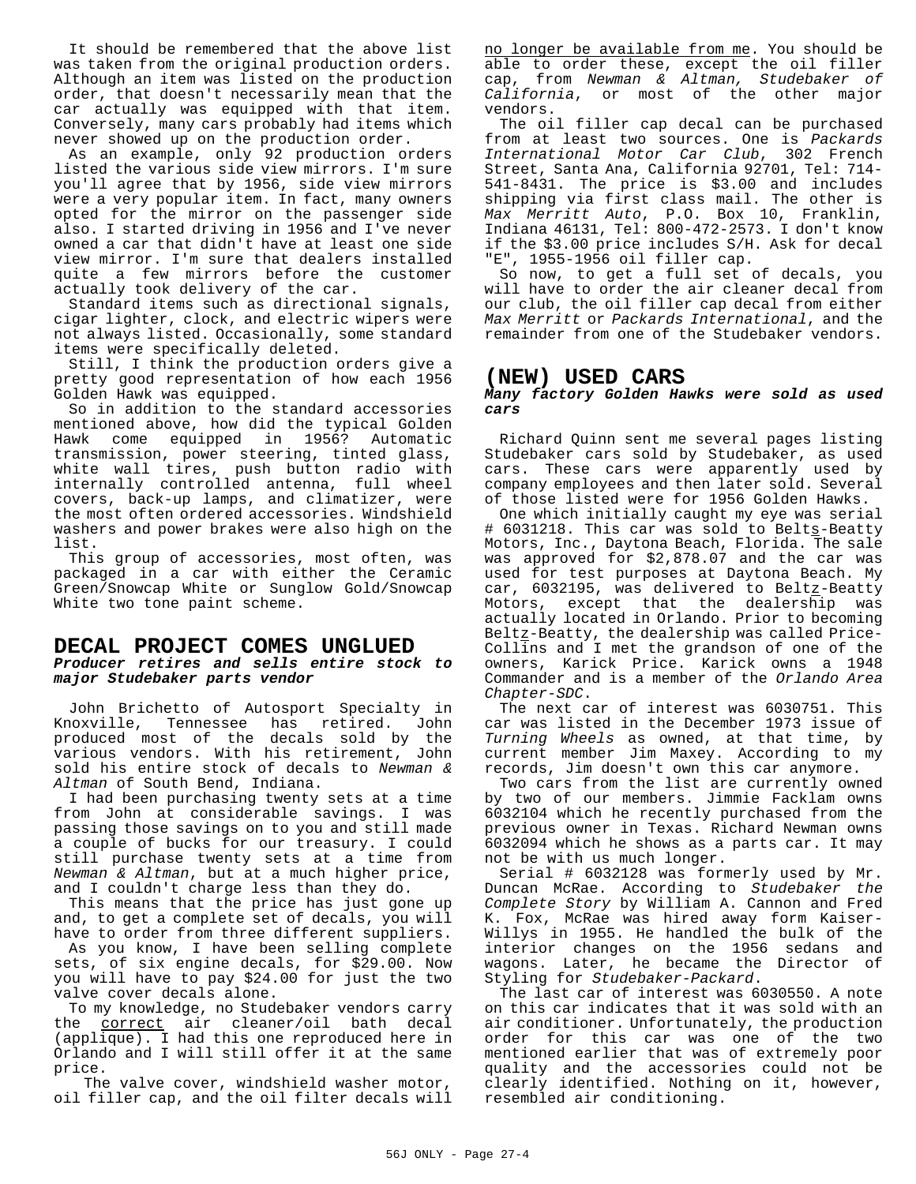It should be remembered that the above list was taken from the original production orders. Although an item was listed on the production order, that doesn't necessarily mean that the car actually was equipped with that item. Conversely, many cars probably had items which never showed up on the production order.

As an example, only 92 production orders listed the various side view mirrors. I'm sure you'll agree that by 1956, side view mirrors were a very popular item. In fact, many owners opted for the mirror on the passenger side also. I started driving in 1956 and I've never owned a car that didn't have at least one side view mirror. I'm sure that dealers installed quite a few mirrors before the customer actually took delivery of the car.

Standard items such as directional signals, cigar lighter, clock, and electric wipers were not always listed. Occasionally, some standard items were specifically deleted.

Still, I think the production orders give a pretty good representation of how each 1956 Golden Hawk was equipped.

So in addition to the standard accessories mentioned above, how did the typical Golden Hawk come equipped in 1956? Automatic transmission, power steering, tinted glass, white wall tires, push button radio with internally controlled antenna, full wheel covers, back-up lamps, and climatizer, were the most often ordered accessories. Windshield washers and power brakes were also high on the list.

This group of accessories, most often, was packaged in a car with either the Ceramic Green/Snowcap White or Sunglow Gold/Snowcap White two tone paint scheme.

#### **DECAL PROJECT COMES UNGLUED** *Producer retires and sells entire stock to major Studebaker parts vendor*

John Brichetto of Autosport Specialty in Knoxville, Tennessee has retired. John produced most of the decals sold by the various vendors. With his retirement, John sold his entire stock of decals to *Newman & Altman* of South Bend, Indiana.

I had been purchasing twenty sets at a time from John at considerable savings. I was passing those savings on to you and still made a couple of bucks for our treasury. I could still purchase twenty sets at a time from *Newman & Altman*, but at a much higher price, and I couldn't charge less than they do.

This means that the price has just gone up and, to get a complete set of decals, you will have to order from three different suppliers.

As you know, I have been selling complete sets, of six engine decals, for \$29.00. Now you will have to pay \$24.00 for just the two valve cover decals alone.

To my knowledge, no Studebaker vendors carry the correct air cleaner/oil bath decal (applique). I had this one reproduced here in Orlando and I will still offer it at the same price.

The valve cover, windshield washer motor, oil filler cap, and the oil filter decals will no longer be available from me. You should be able to order these, except the oil filler cap, from *Newman & Altman, Studebaker of California*, or most of the other major vendors.

The oil filler cap decal can be purchased from at least two sources. One is *Packards International Motor Car Club*, 302 French Street, Santa Ana, California 92701, Tel: 714- 541-8431. The price is \$3.00 and includes shipping via first class mail. The other is *Max Merritt Auto*, P.O. Box 10, Franklin, Indiana 46131, Tel: 800-472-2573. I don't know if the \$3.00 price includes S/H. Ask for decal "E", 1955-1956 oil filler cap.

So now, to get a full set of decals, you will have to order the air cleaner decal from our club, the oil filler cap decal from either *Max Merritt* or *Packards International*, and the remainder from one of the Studebaker vendors.

#### **(NEW) USED CARS**

#### *Many factory Golden Hawks were sold as used cars*

Richard Quinn sent me several pages listing Studebaker cars sold by Studebaker, as used cars. These cars were apparently used by company employees and then later sold. Several of those listed were for 1956 Golden Hawks.

One which initially caught my eye was serial # 6031218. This car was sold to Belts-Beatty Motors, Inc., Daytona Beach, Florida. The sale was approved for \$2,878.07 and the car was used for test purposes at Daytona Beach. My car, 6032195, was delivered to Beltz-Beatty Motors, except that the dealership was actually located in Orlando. Prior to becoming Beltz-Beatty, the dealership was called Price-Collins and I met the grandson of one of the owners, Karick Price. Karick owns a 1948 Commander and is a member of the *Orlando Area Chapter-SDC*.

The next car of interest was 6030751. This car was listed in the December 1973 issue of *Turning Wheels* as owned, at that time, by current member Jim Maxey. According to my records, Jim doesn't own this car anymore.

Two cars from the list are currently owned by two of our members. Jimmie Facklam owns 6032104 which he recently purchased from the previous owner in Texas. Richard Newman owns 6032094 which he shows as a parts car. It may not be with us much longer.

Serial # 6032128 was formerly used by Mr. Duncan McRae. According to *Studebaker the Complete Story* by William A. Cannon and Fred K. Fox, McRae was hired away form Kaiser-Willys in 1955. He handled the bulk of the interior changes on the 1956 sedans and wagons. Later, he became the Director of Styling for *Studebaker-Packard*.

The last car of interest was 6030550. A note on this car indicates that it was sold with an air conditioner. Unfortunately, the production order for this car was one of the two mentioned earlier that was of extremely poor quality and the accessories could not be clearly identified. Nothing on it, however, resembled air conditioning.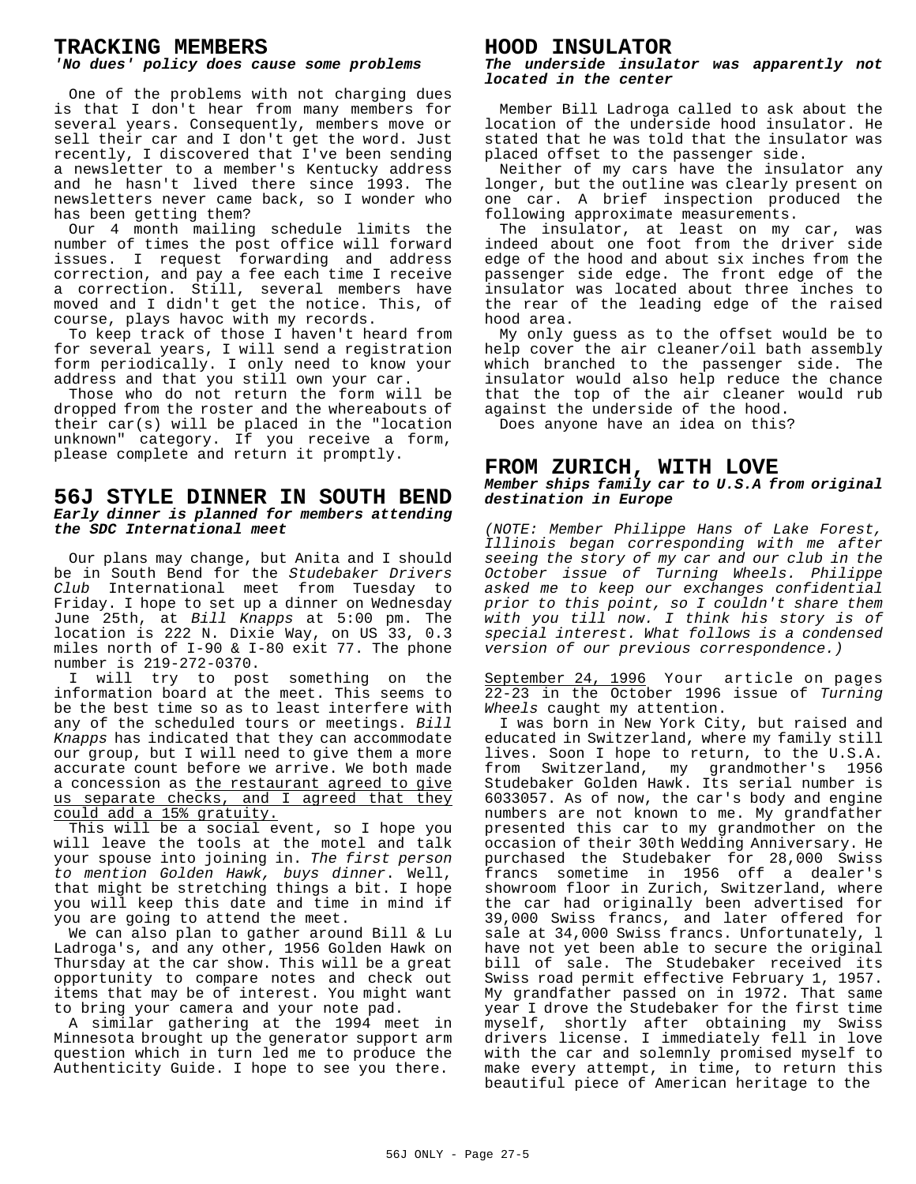#### **TRACKING MEMBERS**

#### *'No dues' policy does cause some problems*

One of the problems with not charging dues is that I don't hear from many members for several years. Consequently, members move or sell their car and I don't get the word. Just recently, I discovered that I've been sending a newsletter to a member's Kentucky address and he hasn't lived there since 1993. The newsletters never came back, so I wonder who has been getting them?

Our 4 month mailing schedule limits the number of times the post office will forward issues. I request forwarding and address correction, and pay a fee each time I receive a correction. Still, several members have moved and I didn't get the notice. This, of course, plays havoc with my records.

To keep track of those I haven't heard from for several years, I will send a registration form periodically. I only need to know your address and that you still own your car.

Those who do not return the form will be dropped from the roster and the whereabouts of their car(s) will be placed in the "location unknown" category. If you receive a form, please complete and return it promptly.

#### **56J STYLE DINNER IN SOUTH BEND** *Early dinner is planned for members attending the SDC International meet*

Our plans may change, but Anita and I should be in South Bend for the *Studebaker Drivers Club* International meet from Tuesday to Friday. I hope to set up a dinner on Wednesday June 25th, at *Bill Knapps* at 5:00 pm. The location is 222 N. Dixie Way, on US 33, 0.3 miles north of I-90 & I-80 exit 77. The phone number is 219-272-0370.

I will try to post something on the information board at the meet. This seems to be the best time so as to least interfere with any of the scheduled tours or meetings. *Bill Knapps* has indicated that they can accommodate our group, but I will need to give them a more accurate count before we arrive. We both made a concession as the restaurant agreed to give us separate checks, and I agreed that they could add a 15% gratuity.

This will be a social event, so I hope you will leave the tools at the motel and talk your spouse into joining in. *The first person to mention Golden Hawk, buys dinner*. Well, that might be stretching things a bit. I hope you will keep this date and time in mind if you are going to attend the meet.

We can also plan to gather around Bill & Lu Ladroga's, and any other, 1956 Golden Hawk on Thursday at the car show. This will be a great opportunity to compare notes and check out items that may be of interest. You might want to bring your camera and your note pad.

A similar gathering at the 1994 meet in Minnesota brought up the generator support arm question which in turn led me to produce the Authenticity Guide. I hope to see you there.

#### **HOOD INSULATOR**

*The underside insulator was apparently not located in the center*

Member Bill Ladroga called to ask about the location of the underside hood insulator. He stated that he was told that the insulator was placed offset to the passenger side.

Neither of my cars have the insulator any longer, but the outline was clearly present on one car. A brief inspection produced the following approximate measurements.

The insulator, at least on my car, was indeed about one foot from the driver side edge of the hood and about six inches from the passenger side edge. The front edge of the insulator was located about three inches to the rear of the leading edge of the raised hood area.

My only guess as to the offset would be to help cover the air cleaner/oil bath assembly which branched to the passenger side. The insulator would also help reduce the chance that the top of the air cleaner would rub against the underside of the hood.

Does anyone have an idea on this?

#### **FROM ZURICH, WITH LOVE** *Member ships family car to U.S.A from original destination in Europe*

*(NOTE: Member Philippe Hans of Lake Forest, Illinois began corresponding with me after seeing the story of my car and our club in the October issue of Turning Wheels. Philippe asked me to keep our exchanges confidential prior to this point, so I couldn't share them with you till now. I think his story is of special interest. What follows is a condensed version of our previous correspondence.)*

September 24, 1996 Your article on pages 22-23 in the October 1996 issue of *Turning Wheels* caught my attention.

I was born in New York City, but raised and educated in Switzerland, where my family still lives. Soon I hope to return, to the U.S.A. from Switzerland, my grandmother's 1956 Studebaker Golden Hawk. Its serial number is 6033057. As of now, the car's body and engine numbers are not known to me. My grandfather presented this car to my grandmother on the occasion of their 30th Wedding Anniversary. He purchased the Studebaker for 28,000 Swiss francs sometime in 1956 off a dealer's showroom floor in Zurich, Switzerland, where the car had originally been advertised for 39,000 Swiss francs, and later offered for sale at 34,000 Swiss francs. Unfortunately, l have not yet been able to secure the original bill of sale. The Studebaker received its Swiss road permit effective February 1, 1957. My grandfather passed on in 1972. That same year I drove the Studebaker for the first time myself, shortly after obtaining my Swiss drivers license. I immediately fell in love with the car and solemnly promised myself to make every attempt, in time, to return this beautiful piece of American heritage to the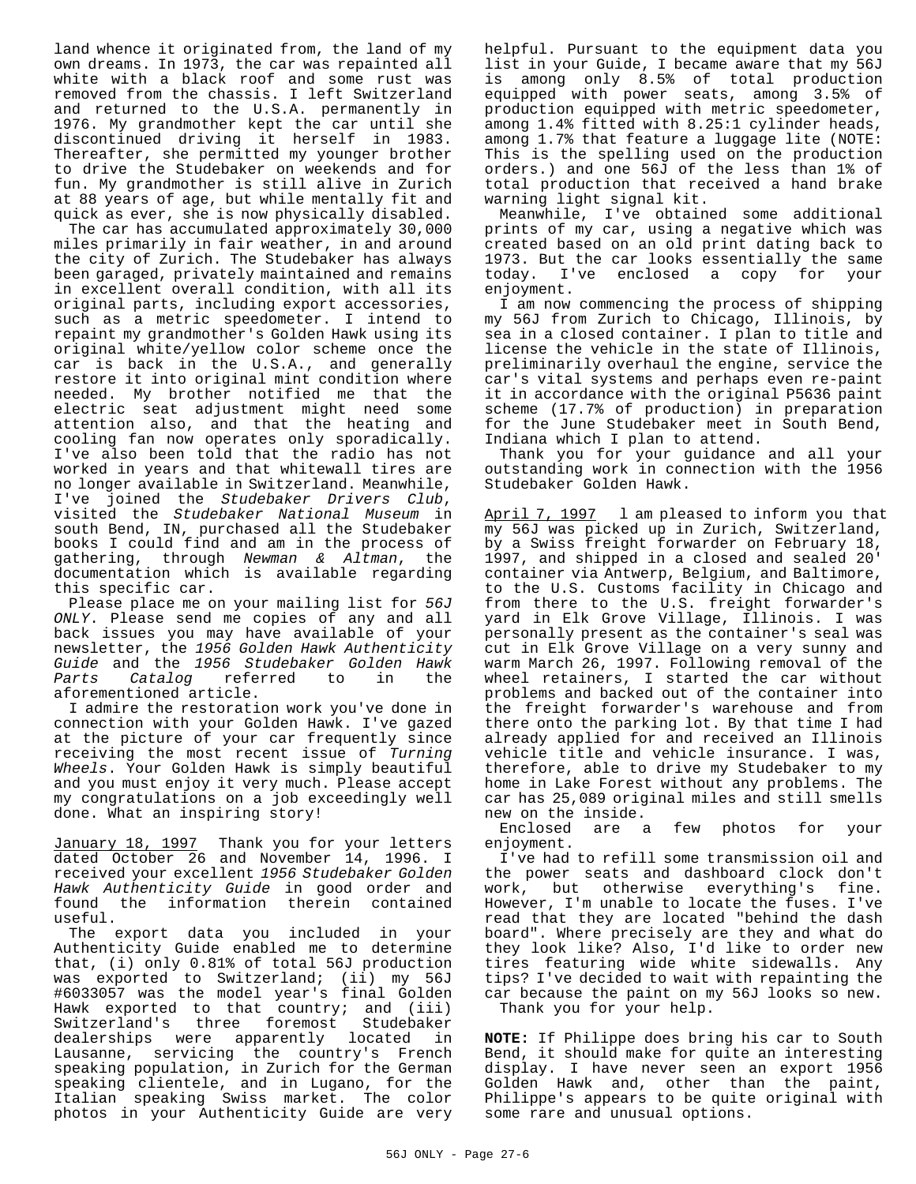land whence it originated from, the land of my own dreams. In 1973, the car was repainted all white with a black roof and some rust was removed from the chassis. I left Switzerland and returned to the U.S.A. permanently in 1976. My grandmother kept the car until she discontinued driving it herself in 1983. Thereafter, she permitted my younger brother to drive the Studebaker on weekends and for fun. My grandmother is still alive in Zurich at 88 years of age, but while mentally fit and quick as ever, she is now physically disabled.

The car has accumulated approximately 30,000 miles primarily in fair weather, in and around the city of Zurich. The Studebaker has always been garaged, privately maintained and remains in excellent overall condition, with all its original parts, including export accessories, such as a metric speedometer. I intend to repaint my grandmother's Golden Hawk using its original white/yellow color scheme once the car is back in the U.S.A., and generally restore it into original mint condition where needed. My brother notified me that the electric seat adjustment might need some attention also, and that the heating and cooling fan now operates only sporadically. I've also been told that the radio has not worked in years and that whitewall tires are no longer available in Switzerland. Meanwhile, I've joined the *Studebaker Drivers Club*, visited the *Studebaker National Museum* in south Bend, IN, purchased all the Studebaker books I could find and am in the process of gathering, through *Newman & Altman*, the documentation which is available regarding this specific car.

Please place me on your mailing list for *56J ONLY*. Please send me copies of any and all back issues you may have available of your newsletter, the *1956 Golden Hawk Authenticity Guide* and the *1956 Studebaker Golden Hawk Parts Catalog* referred to in the aforementioned article.

I admire the restoration work you've done in connection with your Golden Hawk. I've gazed at the picture of your car frequently since receiving the most recent issue of *Turning Wheels*. Your Golden Hawk is simply beautiful and you must enjoy it very much. Please accept my congratulations on a job exceedingly well done. What an inspiring story!

January 18, 1997 Thank you for your letters dated October 26 and November 14, 1996. I received your excellent *1956 Studebaker Golden Hawk Authenticity Guide* in good order and found the information therein contained useful.

The export data you included in your Authenticity Guide enabled me to determine that, (i) only 0.81% of total 56J production was exported to Switzerland; (ii) my 56J #6033057 was the model year's final Golden Hawk exported to that country; and (iii) Switzerland's three foremost Studebaker dealerships were apparently located in Lausanne, servicing the country's French speaking population, in Zurich for the German speaking clientele, and in Lugano, for the Italian speaking Swiss market. The color photos in your Authenticity Guide are very helpful. Pursuant to the equipment data you list in your Guide, I became aware that my 56J is among only 8.5% of total production equipped with power seats, among 3.5% of production equipped with metric speedometer, among 1.4% fitted with 8.25:1 cylinder heads, among 1.7% that feature a luggage lite (NOTE: This is the spelling used on the production orders.) and one 56J of the less than 1% of total production that received a hand brake warning light signal kit.

Meanwhile, I've obtained some additional prints of my car, using a negative which was created based on an old print dating back to 1973. But the car looks essentially the same today. I've enclosed a copy for your enjoyment.

I am now commencing the process of shipping my 56J from Zurich to Chicago, Illinois, by sea in a closed container. I plan to title and license the vehicle in the state of Illinois, preliminarily overhaul the engine, service the car's vital systems and perhaps even re-paint it in accordance with the original P5636 paint scheme (17.7% of production) in preparation for the June Studebaker meet in South Bend, Indiana which I plan to attend.

Thank you for your guidance and all your outstanding work in connection with the 1956 Studebaker Golden Hawk.

April 7, 1997 1 am pleased to inform you that my 56J was picked up in Zurich, Switzerland, by a Swiss freight forwarder on February 18, 1997, and shipped in a closed and sealed 20' container via Antwerp, Belgium, and Baltimore, to the U.S. Customs facility in Chicago and from there to the U.S. freight forwarder's yard in Elk Grove Village, Illinois. I was personally present as the container's seal was cut in Elk Grove Village on a very sunny and warm March 26, 1997. Following removal of the wheel retainers, I started the car without problems and backed out of the container into the freight forwarder's warehouse and from there onto the parking lot. By that time I had already applied for and received an Illinois vehicle title and vehicle insurance. I was, therefore, able to drive my Studebaker to my home in Lake Forest without any problems. The car has 25,089 original miles and still smells new on the inside.

Enclosed are a few photos for your enjoyment.

I've had to refill some transmission oil and the power seats and dashboard clock don't work, but otherwise everything's fine. However, I'm unable to locate the fuses. I've read that they are located "behind the dash board". Where precisely are they and what do they look like? Also, I'd like to order new tires featuring wide white sidewalls. Any tips? I've decided to wait with repainting the car because the paint on my 56J looks so new. Thank you for your help.

**NOTE:** If Philippe does bring his car to South Bend, it should make for quite an interesting display. I have never seen an export 1956 Golden Hawk and, other than the paint, Philippe's appears to be quite original with some rare and unusual options.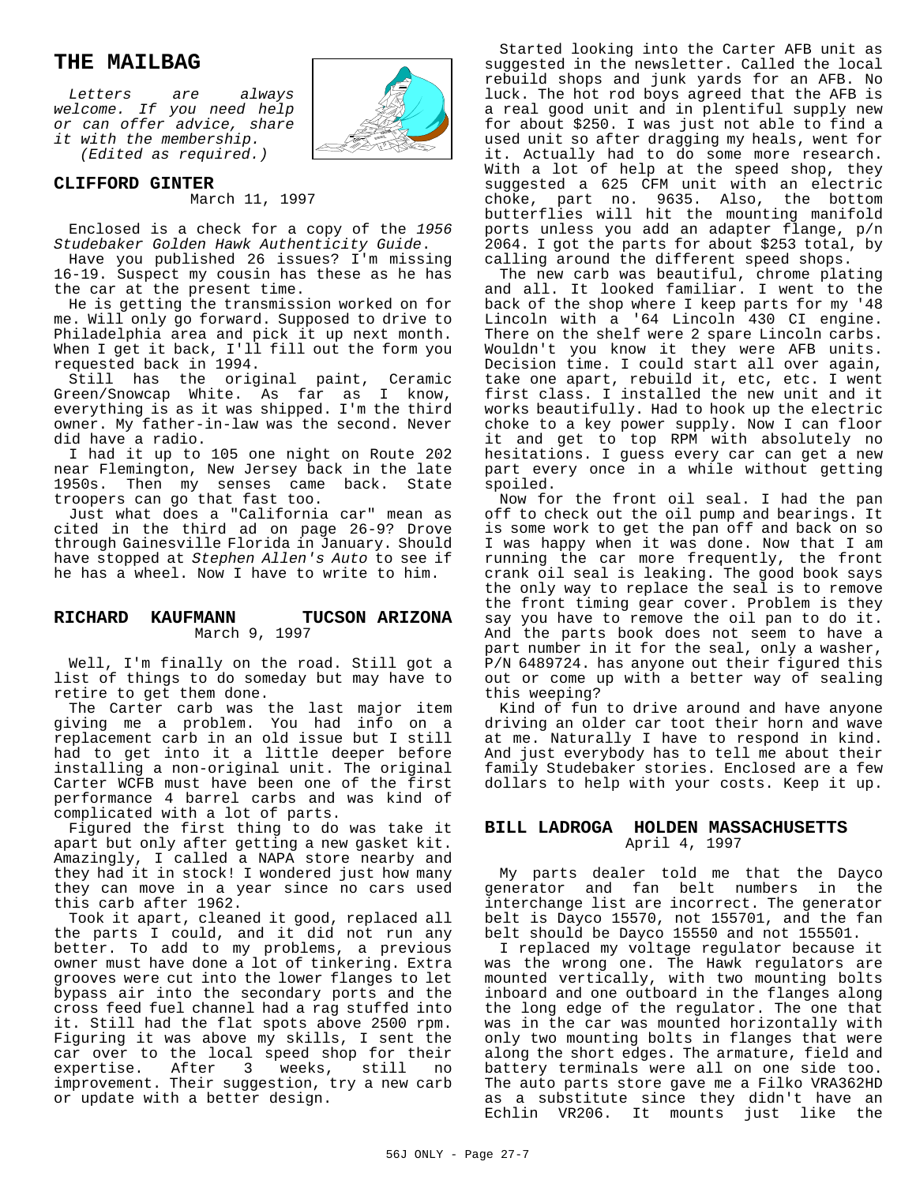#### **THE MAILBAG**

*Letters are always welcome. If you need help or can offer advice, share it with the membership.*

*(Edited as required.)*



#### **CLIFFORD GINTER**

March 11, 1997

Enclosed is a check for a copy of the *1956 Studebaker Golden Hawk Authenticity Guide*.

Have you published 26 issues? I'm missing 16-19. Suspect my cousin has these as he has the car at the present time.

He is getting the transmission worked on for me. Will only go forward. Supposed to drive to Philadelphia area and pick it up next month. When I get it back, I'll fill out the form you requested back in 1994.

Still has the original paint, Ceramic Green/Snowcap White. As far as I know, everything is as it was shipped. I'm the third owner. My father-in-law was the second. Never did have a radio.

I had it up to 105 one night on Route 202 near Flemington, New Jersey back in the late 1950s. Then my senses came back. State troopers can go that fast too.

Just what does a "California car" mean as cited in the third ad on page 26-9? Drove through Gainesville Florida in January. Should have stopped at *Stephen Allen's Auto* to see if he has a wheel. Now I have to write to him.

#### **RICHARD KAUFMANN TUCSON ARIZONA** March 9, 1997

Well, I'm finally on the road. Still got a list of things to do someday but may have to retire to get them done.

The Carter carb was the last major item giving me a problem. You had info on a replacement carb in an old issue but I still had to get into it a little deeper before installing a non-original unit. The original Carter WCFB must have been one of the first performance 4 barrel carbs and was kind of complicated with a lot of parts.

Figured the first thing to do was take it apart but only after getting a new gasket kit. Amazingly, I called a NAPA store nearby and they had it in stock! I wondered just how many they can move in a year since no cars used this carb after 1962.

Took it apart, cleaned it good, replaced all the parts I could, and it did not run any better. To add to my problems, a previous owner must have done a lot of tinkering. Extra grooves were cut into the lower flanges to let bypass air into the secondary ports and the cross feed fuel channel had a rag stuffed into it. Still had the flat spots above 2500 rpm. Figuring it was above my skills, I sent the car over to the local speed shop for their expertise. After 3 weeks, still no improvement. Their suggestion, try a new carb or update with a better design.

Started looking into the Carter AFB unit as suggested in the newsletter. Called the local rebuild shops and junk yards for an AFB. No luck. The hot rod boys agreed that the AFB is a real good unit and in plentiful supply new for about \$250. I was just not able to find a used unit so after dragging my heals, went for it. Actually had to do some more research. With a lot of help at the speed shop, they suggested a 625 CFM unit with an electric choke, part no. 9635. Also, the bottom butterflies will hit the mounting manifold ports unless you add an adapter flange, p/n 2064. I got the parts for about \$253 total, by calling around the different speed shops.

The new carb was beautiful, chrome plating and all. It looked familiar. I went to the back of the shop where I keep parts for my '48 Lincoln with a '64 Lincoln 430 CI engine. There on the shelf were 2 spare Lincoln carbs. Wouldn't you know it they were AFB units. Decision time. I could start all over again, take one apart, rebuild it, etc, etc. I went first class. I installed the new unit and it works beautifully. Had to hook up the electric choke to a key power supply. Now I can floor it and get to top RPM with absolutely no hesitations. I guess every car can get a new part every once in a while without getting spoiled.

Now for the front oil seal. I had the pan off to check out the oil pump and bearings. It is some work to get the pan off and back on so I was happy when it was done. Now that I am running the car more frequently, the front crank oil seal is leaking. The good book says the only way to replace the seal is to remove the front timing gear cover. Problem is they say you have to remove the oil pan to do it. And the parts book does not seem to have a part number in it for the seal, only a washer, P/N 6489724. has anyone out their figured this out or come up with a better way of sealing this weeping?

Kind of fun to drive around and have anyone driving an older car toot their horn and wave at me. Naturally I have to respond in kind. And just everybody has to tell me about their family Studebaker stories. Enclosed are a few dollars to help with your costs. Keep it up.

#### **BILL LADROGA HOLDEN MASSACHUSETTS** April 4, 1997

My parts dealer told me that the Dayco generator and fan belt numbers in the interchange list are incorrect. The generator belt is Dayco 15570, not 155701, and the fan belt should be Dayco 15550 and not 155501.

I replaced my voltage regulator because it was the wrong one. The Hawk regulators are mounted vertically, with two mounting bolts inboard and one outboard in the flanges along the long edge of the regulator. The one that was in the car was mounted horizontally with only two mounting bolts in flanges that were along the short edges. The armature, field and battery terminals were all on one side too. The auto parts store gave me a Filko VRA362HD as a substitute since they didn't have an Echlin VR206. It mounts just like the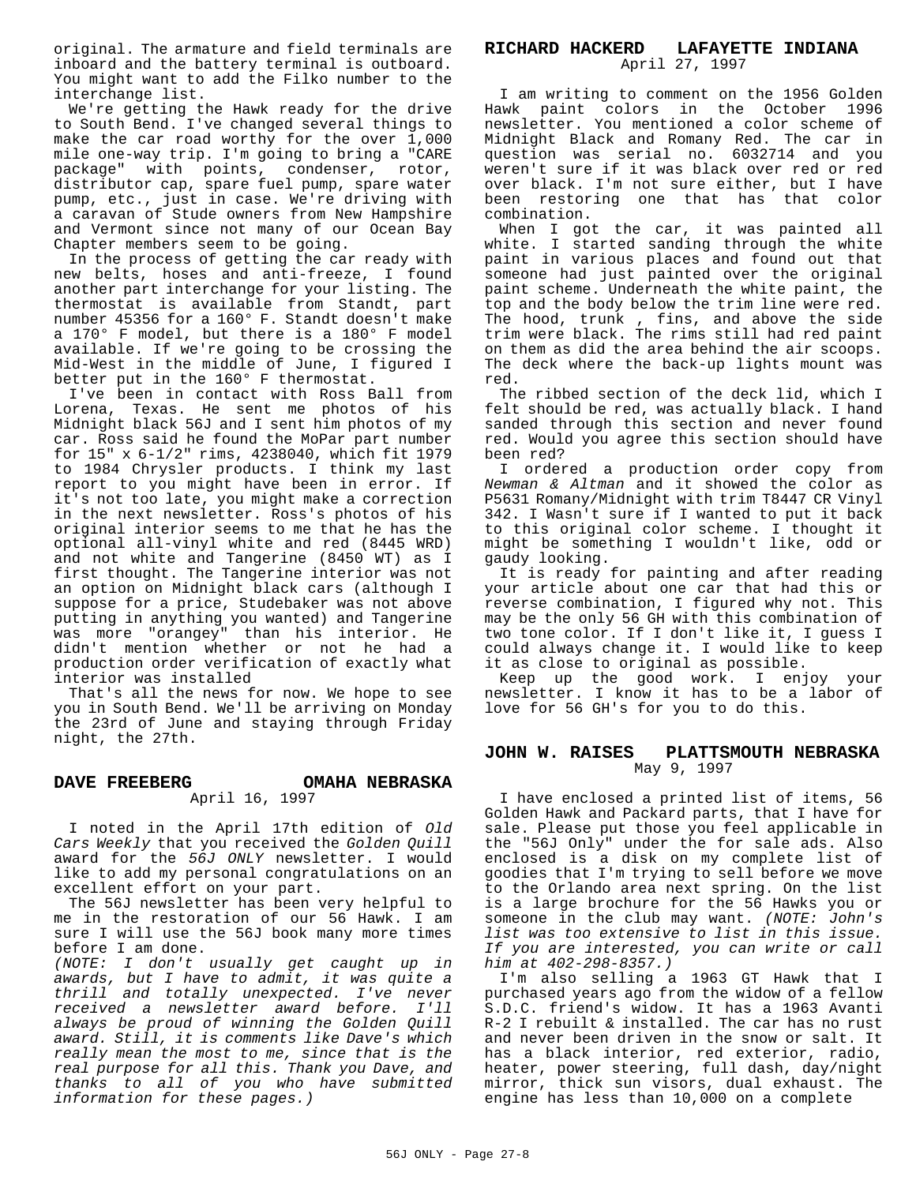original. The armature and field terminals are inboard and the battery terminal is outboard. You might want to add the Filko number to the interchange list.

We're getting the Hawk ready for the drive to South Bend. I've changed several things to make the car road worthy for the over 1,000 mile one-way trip. I'm going to bring a "CARE package" with points, condenser, rotor, distributor cap, spare fuel pump, spare water pump, etc., just in case. We're driving with a caravan of Stude owners from New Hampshire and Vermont since not many of our Ocean Bay Chapter members seem to be going.

In the process of getting the car ready with new belts, hoses and anti-freeze, I found another part interchange for your listing. The thermostat is available from Standt, part number 45356 for a 160° F. Standt doesn't make a 170° F model, but there is a 180° F model available. If we're going to be crossing the Mid-West in the middle of June, I figured I better put in the 160° F thermostat.

I've been in contact with Ross Ball from Lorena, Texas. He sent me photos of his Midnight black 56J and I sent him photos of my car. Ross said he found the MoPar part number for 15" x 6-1/2" rims, 4238040, which fit 1979 to 1984 Chrysler products. I think my last report to you might have been in error. If it's not too late, you might make a correction in the next newsletter. Ross's photos of his original interior seems to me that he has the optional all-vinyl white and red (8445 WRD) and not white and Tangerine (8450 WT) as I first thought. The Tangerine interior was not an option on Midnight black cars (although I suppose for a price, Studebaker was not above putting in anything you wanted) and Tangerine was more "orangey" than his interior. He didn't mention whether or not he had a production order verification of exactly what interior was installed

That's all the news for now. We hope to see you in South Bend. We'll be arriving on Monday the 23rd of June and staying through Friday night, the 27th.

#### **DAVE FREEBERG OMAHA NEBRASKA** April 16, 1997

I noted in the April 17th edition of *Old Cars Weekly* that you received the *Golden Quill* award for the *56J ONLY* newsletter. I would like to add my personal congratulations on an excellent effort on your part.

The 56J newsletter has been very helpful to me in the restoration of our 56 Hawk. I am sure I will use the 56J book many more times before I am done.

*(NOTE: I don't usually get caught up in awards, but I have to admit, it was quite a thrill and totally unexpected. I've never received a newsletter award before. I'll always be proud of winning the Golden Quill award. Still, it is comments like Dave's which really mean the most to me, since that is the real purpose for all this. Thank you Dave, and thanks to all of you who have submitted information for these pages.)*

#### **RICHARD HACKERD LAFAYETTE INDIANA** April 27, 1997

I am writing to comment on the 1956 Golden Hawk paint colors in the October 1996 newsletter. You mentioned a color scheme of Midnight Black and Romany Red. The car in question was serial no. 6032714 and you weren't sure if it was black over red or red over black. I'm not sure either, but I have been restoring one that has that color combination.

When I got the car, it was painted all white. I started sanding through the white paint in various places and found out that someone had just painted over the original paint scheme. Underneath the white paint, the top and the body below the trim line were red. The hood, trunk , fins, and above the side trim were black. The rims still had red paint on them as did the area behind the air scoops. The deck where the back-up lights mount was red.

The ribbed section of the deck lid, which I felt should be red, was actually black. I hand sanded through this section and never found red. Would you agree this section should have been red?

I ordered a production order copy from *Newman & Altman* and it showed the color as P5631 Romany/Midnight with trim T8447 CR Vinyl 342. I Wasn't sure if I wanted to put it back to this original color scheme. I thought it might be something I wouldn't like, odd or gaudy looking.

It is ready for painting and after reading your article about one car that had this or reverse combination, I figured why not. This may be the only 56 GH with this combination of two tone color. If I don't like it, I guess I could always change it. I would like to keep it as close to original as possible.

Keep up the good work. I enjoy your newsletter. I know it has to be a labor of love for 56 GH's for you to do this.

#### **JOHN W. RAISES PLATTSMOUTH NEBRASKA** May 9, 1997

I have enclosed a printed list of items, 56 Golden Hawk and Packard parts, that I have for sale. Please put those you feel applicable in the "56J Only" under the for sale ads. Also enclosed is a disk on my complete list of goodies that I'm trying to sell before we move to the Orlando area next spring. On the list is a large brochure for the 56 Hawks you or someone in the club may want. *(NOTE: John's list was too extensive to list in this issue. If you are interested, you can write or call him at 402-298-8357.)*

I'm also selling a 1963 GT Hawk that I purchased years ago from the widow of a fellow S.D.C. friend's widow. It has a 1963 Avanti R-2 I rebuilt & installed. The car has no rust and never been driven in the snow or salt. It has a black interior, red exterior, radio, heater, power steering, full dash, day/night mirror, thick sun visors, dual exhaust. The engine has less than 10,000 on a complete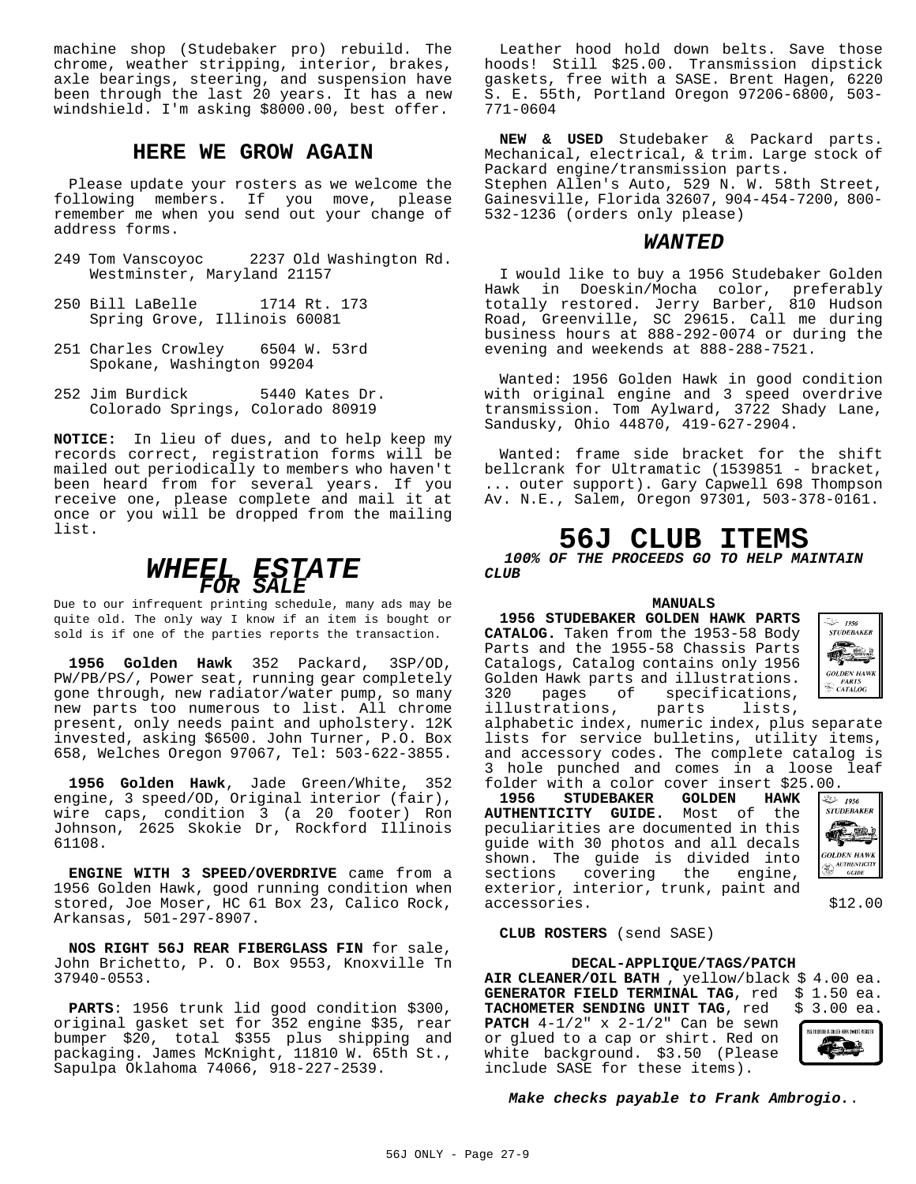machine shop (Studebaker pro) rebuild. The chrome, weather stripping, interior, brakes, axle bearings, steering, and suspension have been through the last 20 years. It has a new windshield. I'm asking \$8000.00, best offer.

#### **HERE WE GROW AGAIN**

Please update your rosters as we welcome the following members. If you move, please remember me when you send out your change of address forms.

- 249 Tom Vanscoyoc 2237 Old Washington Rd. Westminster, Maryland 21157
- 250 Bill LaBelle 1714 Rt. 173 Spring Grove, Illinois 60081
- 251 Charles Crowley 6504 W. 53rd Spokane, Washington 99204
- 252 Jim Burdick 5440 Kates Dr. Colorado Springs, Colorado 80919

**NOTICE:** In lieu of dues, and to help keep my records correct, registration forms will be mailed out periodically to members who haven't been heard from for several years. If you receive one, please complete and mail it at once or you will be dropped from the mailing list.

## *WHEEL ESTATE FOR SALE*

Due to our infrequent printing schedule, many ads may be quite old. The only way I know if an item is bought or sold is if one of the parties reports the transaction.

**1956 Golden Hawk** 352 Packard, 3SP/OD, PW/PB/PS/, Power seat, running gear completely gone through, new radiator/water pump, so many new parts too numerous to list. All chrome present, only needs paint and upholstery. 12K invested, asking \$6500. John Turner, P.O. Box 658, Welches Oregon 97067, Tel: 503-622-3855.

**1956 Golden Hawk**, Jade Green/White, 352 engine, 3 speed/OD, Original interior (fair), wire caps, condition 3 (a 20 footer) Ron Johnson, 2625 Skokie Dr, Rockford Illinois 61108.

**ENGINE WITH 3 SPEED/OVERDRIVE** came from a 1956 Golden Hawk, good running condition when stored, Joe Moser, HC 61 Box 23, Calico Rock, Arkansas, 501-297-8907.

**NOS RIGHT 56J REAR FIBERGLASS FIN** for sale, John Brichetto, P. O. Box 9553, Knoxville Tn 37940-0553.

**PARTS**: 1956 trunk lid good condition \$300, original gasket set for 352 engine \$35, rear bumper \$20, total \$355 plus shipping and packaging. James McKnight, 11810 W. 65th St., Sapulpa Oklahoma 74066, 918-227-2539.

Leather hood hold down belts. Save those hoods! Still \$25.00. Transmission dipstick gaskets, free with a SASE. Brent Hagen, 6220 S. E. 55th, Portland Oregon 97206-6800, 503- 771-0604

**NEW & USED** Studebaker & Packard parts. Mechanical, electrical, & trim. Large stock of Packard engine/transmission parts. Stephen Allen's Auto, 529 N. W. 58th Street, Gainesville, Florida 32607, 904-454-7200, 800- 532-1236 (orders only please)

#### *WANTED*

I would like to buy a 1956 Studebaker Golden Hawk in Doeskin/Mocha color, preferably totally restored. Jerry Barber, 810 Hudson Road, Greenville, SC 29615. Call me during business hours at 888-292-0074 or during the evening and weekends at 888-288-7521.

Wanted: 1956 Golden Hawk in good condition with original engine and 3 speed overdrive transmission. Tom Aylward, 3722 Shady Lane, Sandusky, Ohio 44870, 419-627-2904.

Wanted: frame side bracket for the shift bellcrank for Ultramatic (1539851 - bracket, ... outer support). Gary Capwell 698 Thompson Av. N.E., Salem, Oregon 97301, 503-378-0161.

## **56J CLUB ITEMS**

*100% OF THE PROCEEDS GO TO HELP MAINTAIN CLUB*

#### **MANUALS**

**1956 STUDEBAKER GOLDEN HAWK PARTS CATALOG.** Taken from the 1953-58 Body Parts and the 1955-58 Chassis Parts Catalogs, Catalog contains only 1956 Golden Hawk parts and illustrations. 320 pages of specifications, illustrations, parts lists,



alphabetic index, numeric index, plus separate lists for service bulletins, utility items, and accessory codes. The complete catalog is 3 hole punched and comes in a loose leaf

**folder with a color cover insert \$25.00.**<br>1956 STUDEBAKER GOLDEN HAWK **1956 STUDEBAKER GOLDEN HAWK AUTHENTICITY GUIDE.** Most of the peculiarities are documented in this guide with 30 photos and all decals shown. The guide is divided into sections covering the engine, exterior, interior, trunk, paint and accessories.  $$12.00$ 



#### **CLUB ROSTERS** (send SASE)

#### **DECAL-APPLIQUE/TAGS/PATCH**

**AIR CLEANER/OIL BATH** , yellow/black \$ 4.00 ea. GENERATOR FIELD TERMINAL TAG, red \$ 1.50 ea.<br>TACHOMETER SENDING UNIT TAG, red \$ 3.00 ea. TACHOMETER SENDING UNIT TAG, red **PATCH** 4-1/2" x 2-1/2" Can be sewn or glued to a cap or shirt. Red on white background. \$3.50 (Please include SASE for these items).



#### *Make checks payable to Frank Ambrogio.*.